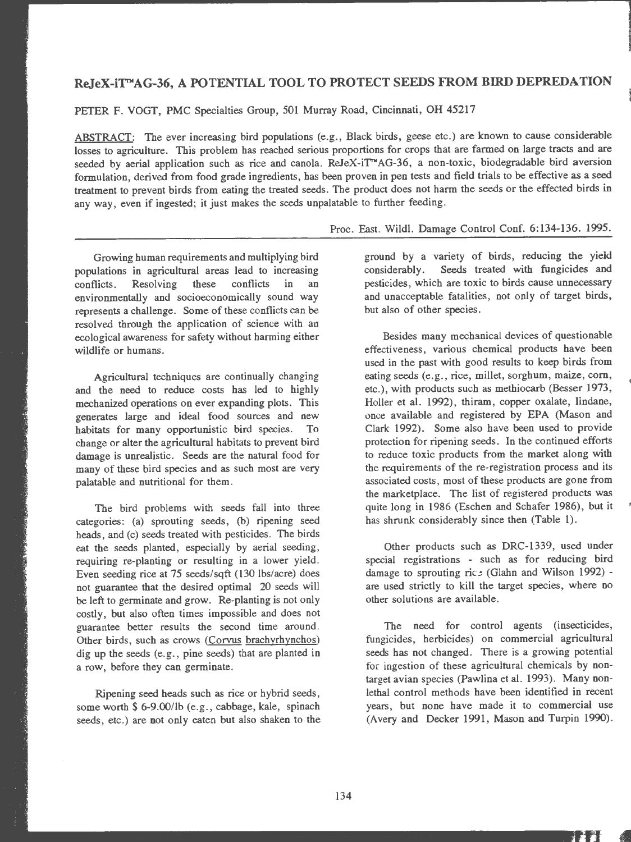## **ReJeX-i'J'TMAG-36, A** POTENTIAL TOOL TO PROTECT SEEDS **FROM BIRD DEPREDATION**

PETER F. VOGT, PMC Specialties Group, 501 Murray Road, Cincinnati, OH 45217

ABSTRACT: The ever increasing bird populations (e.g., Black birds, geese etc.) are known to cause considerable losses to agriculture. This problem has reached serious proportions for crops that are farmed on large tracts and are seeded by aerial application such as rice and canola. ReJeX-iT<sup>M</sup>AG-36, a non-toxic, biodegradable bird aversion formulation, derived from food grade ingredients, has been proven in pen tests and field trials to be effective as a seed treatment to prevent birds from eating the treated seeds. The product does not harm the seeds or the effected birds in any way, even if ingested; it just makes the seeds unpalatable to further feeding.

Growing human requirements and multiplying bird populations in agricultural areas lead to increasing conflicts . Resolving these conflicts in an environmentally and socioeconomically sound way represents a challenge. Some of these conflicts can be resolved through the application of science with an ecological awareness for safety without harming either wildlife or humans.

Agricultural techniques are continually changing and the need to reduce costs has led to highly mechanized operations on ever expanding plots. This generates large and ideal food sources and new habitats for many opportunistic bird species. To change or alter the agricultural habitats to prevent bird damage is unrealistic. Seeds are the natural food for many of these bird species and as such most are very palatable and nutritional for them.

The bird problems with seeds fall into three categories: (a) sprouting seeds, (b) ripening seed heads, and (c) seeds treated with pesticides. The birds eat the seeds planted, especially by aerial seeding, requiring re-planting or resulting in a lower yield. Even seeding rice at 75 seeds/sqft (130 lbs/acre) does not guarantee that the desired optimal 20 seeds **will**  be left to germinate and grow. Re-planting is not only costly, but also often times impossible and does not guarantee better results the second time around. Other birds, such as crows (Corvus brachyrhynchos) dig up the seeds (e.g. , pine seeds) that are planted in a row, before they can germinate.

Ripening seed heads such as rice or hybrid seeds , some worth \$ 6-9.00/lb (e.g., cabbage, kale, spinach seeds, etc.) are not only eaten but also shaken to the

## Proc. East. Wildl. Damage Control Conf. 6:134-136. 1995.

ground by a variety of birds, reducing the yield considerably. Seeds treated with fungicides and pesticides, which are toxic to birds cause unnecessary and unacceptable fatalities, not only of target birds, but also of other species .

Besides many mechanical devices of questionable effectiveness, various chemical products have been used in the past with good results to keep birds from eating seeds (e.g., rice, millet, sorghum, maize, corn, etc.), with products such as methiocarb (Besser 1973, Holler et al. 1992), thiram, copper oxalate, lindane, once available and registered by EPA (Mason and Clark 1992). Some also have been used to provide protection for ripening seeds . In the continued efforts to reduce toxic products from the market along with the requirements of the re-registration process and its associated costs, most of these products are gone from the marketplace. The list of registered products was quite long in 1986 (Eschen and Schafer 1986), but it has shrunk considerably since then (Table 1).

Other products such as DRC-1339, used under special registrations - such as for reducing bird damage to sprouting ric: (Glahn and Wilson 1992) are used strictly to kill the target species, where no other solutions are available .

The need for control agents (insecticides, fungicides, herbicides) on commercial agricultural seeds has not changed. There is a growing potential for ingestion of these agricultural chemicals by nontarget avian species (Pawlina et al. 1993) . **Many** nonlethal control methods have been identified in recent years, but none have made it to commercial use (Avery and Decker 1991, Mason and Turpin 1990).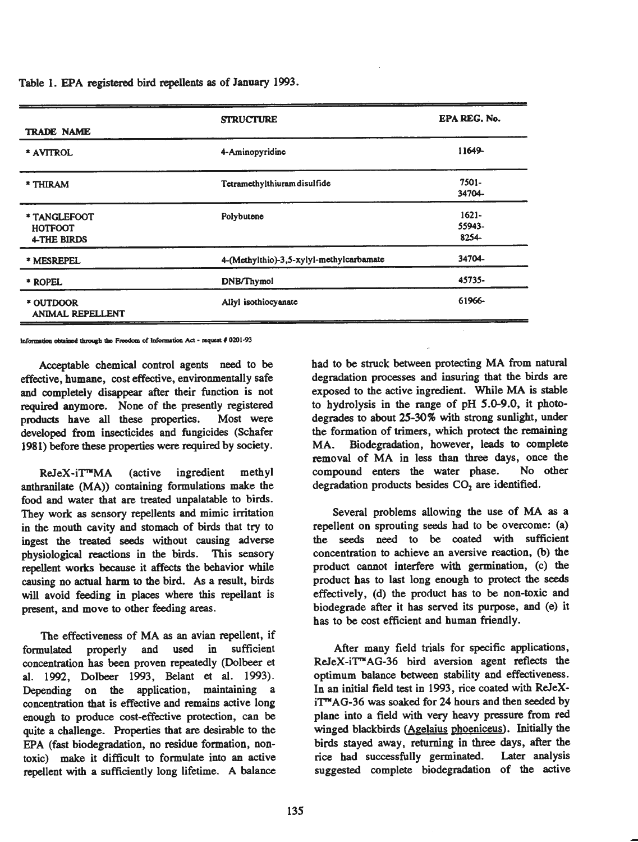Table 1. EPA registered bird repellents as of January 1993.

| <b>TRADE NAME</b>                                    | <b>STRUCTURE</b>                         | EPA REG. No.                |
|------------------------------------------------------|------------------------------------------|-----------------------------|
| * AVITROL                                            | 4-Aminopyridine                          | 11649-                      |
| * THIRAM                                             | Tetramethylthiuram disulfide             | 7501-<br>34704-             |
| * TANGLEFOOT<br><b>HOTFOOT</b><br><b>4-THE BIRDS</b> | Polybutene                               | $1621 -$<br>55943-<br>8254- |
| * MESREPEL                                           | 4-(Methylthio)-3,5-xylyl-methylcarbamate | 34704-                      |
| * ROPEL                                              | DNB/Thymol                               | 45735-                      |
| * OUTDOOR<br><b>ANIMAL REPELLENT</b>                 | Allyl isothiocyanate                     | 61966-                      |

**lnformation** obtained through the Freedom of Information Act - request # 0201-93

Acceptable chemical control agents need to be effective, humane, cost effective, environmentally safe and completely disappear after their function is not required anymore. None of the presently registered products have all these properties. Most were developed from insecticides and fungicides (Schafer 1981) before these properties were required by society.

**ReJeX-iT"'MA** (active ingredient methyl anthranilate **(MA))** containing formulations make the food and water that are treated unpalatable to birds. They work as sensory repellents and mimic irritation in the mouth cavity and stomach of birds that try to ingest the treated seeds without causing adverse <sup>p</sup>hysiological reactions in the birds. This sensory repellent works because it affects the behavior while causing no actual harm to the bird. As a result, birds will avoid feeding in places where this repellant is present, and move to other feeding areas.

The effectiveness of MA as an avian repellent, if formulated properly and used in sufficient concentration has been proven repeatedly (Dolbeer et al. 1992, Dolbeer 1993, Belant et al. 1993). Depending on the application, maintaining a concentration that is effective and remains active long enough to produce cost-effective protection, can be quite a challenge. Properties that are desirable to the EPA (fast biodegradation, no residue formation, nontoxic) make it difficult to formulate into an active repellent with a sufficiently long lifetime. A balance

had to be struck between protecting MA from natural degradation processes and insuring that the birds are exposed to the active ingredient. While MA is stable to hydrolysis in the range of pH 5.0-9.0, it photodegrades to about 25-30% with strong sunlight, under the formation of trimers, which protect the remaining MA. Biodegradation, however, leads to complete removal of MA in less than three days, once the compound enters the water phase. No other degradation products besides  $CO<sub>2</sub>$  are identified.

Several problems allowing the use of MA as a repellent on sprouting seeds bad to be overcome: (a) the seeds need to be coated with sufficient concentration to achieve an aversive reaction, (b) the product cannot interfere with germination, (c) the product has to last long enough to protect the seeds effectively, (d) the product has to be non-toxic and biodegrade after it bas served its purpose, and (e) it has to be cost efficient and human friendly.

After many field trials for specific applications, ReJeX-iT<sup>T</sup>AG-36 bird aversion agent reflects the optimum balance between stability and effectiveness. In an initial field test in 1993, rice coated with ReJeX $iT<sup>m</sup>$ AG-36 was soaked for 24 hours and then seeded by <sup>p</sup>lane into a field with very heavy pressure from red winged blackbirds (Agelaius phoeniceus). Initially the birds stayed away, returning in three days, after the rice bad successfully germinated. Later analysis suggested complete biodegradation of the active